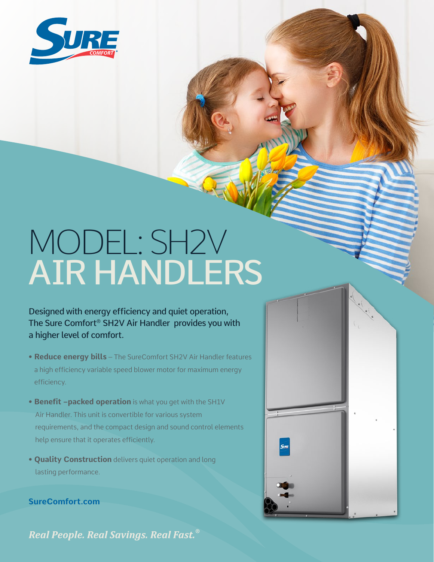

## MODEL: SH2V AIR HANDLERS

Designed with energy efficiency and quiet operation, The Sure Comfort® SH2V Air Handler provides you with a higher level of comfort.

- **Reduce energy bills** The SureComfort SH2V Air Handler features a high efficiency variable speed blower motor for maximum energy efficiency.
- **Benefit –packed operation** is what you get with the SH1V Air Handler. This unit is convertible for various system requirements, and the compact design and sound control elements help ensure that it operates efficiently.
- **Quality Construction** delivers quiet operation and long lasting performance.

**SureComfort.com**

Real People. Real Savings. Real Fast.<sup>®</sup>